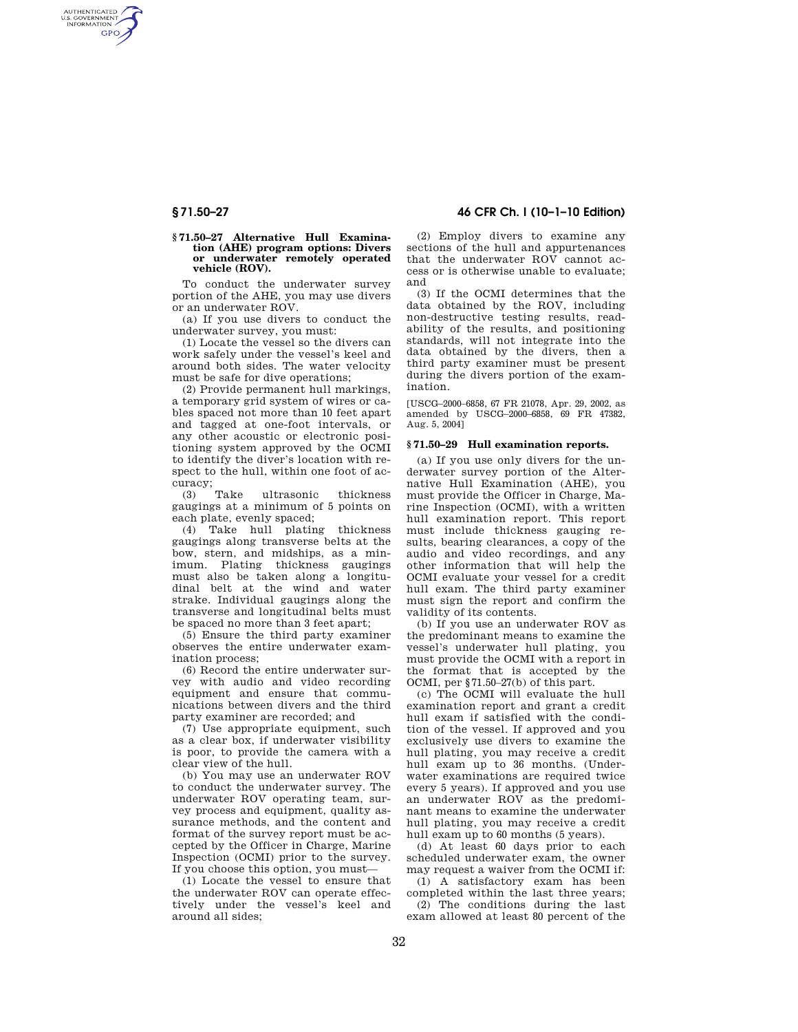AUTHENTICATED<br>U.S. GOVERNMENT<br>INFORMATION **GPO** 

### **§ 71.50–27 Alternative Hull Examination (AHE) program options: Divers or underwater remotely operated vehicle (ROV).**

To conduct the underwater survey portion of the AHE, you may use divers or an underwater ROV.

(a) If you use divers to conduct the underwater survey, you must:

(1) Locate the vessel so the divers can work safely under the vessel's keel and around both sides. The water velocity must be safe for dive operations;

(2) Provide permanent hull markings, a temporary grid system of wires or cables spaced not more than 10 feet apart and tagged at one-foot intervals, or any other acoustic or electronic positioning system approved by the OCMI to identify the diver's location with respect to the hull, within one foot of accuracy;<br>(3) Take

(3) Take ultrasonic thickness gaugings at a minimum of 5 points on each plate, evenly spaced;

(4) Take hull plating thickness gaugings along transverse belts at the bow, stern, and midships, as a minimum. Plating thickness gaugings must also be taken along a longitudinal belt at the wind and water strake. Individual gaugings along the transverse and longitudinal belts must be spaced no more than 3 feet apart;

(5) Ensure the third party examiner observes the entire underwater examination process;

(6) Record the entire underwater survey with audio and video recording equipment and ensure that communications between divers and the third party examiner are recorded; and

(7) Use appropriate equipment, such as a clear box, if underwater visibility is poor, to provide the camera with a clear view of the hull.

(b) You may use an underwater ROV to conduct the underwater survey. The underwater ROV operating team, survey process and equipment, quality assurance methods, and the content and format of the survey report must be accepted by the Officer in Charge, Marine Inspection (OCMI) prior to the survey. If you choose this option, you must—

(1) Locate the vessel to ensure that the underwater ROV can operate effectively under the vessel's keel and around all sides;

**§ 71.50–27 46 CFR Ch. I (10–1–10 Edition)** 

(2) Employ divers to examine any sections of the hull and appurtenances that the underwater ROV cannot access or is otherwise unable to evaluate; and

(3) If the OCMI determines that the data obtained by the ROV, including non-destructive testing results, readability of the results, and positioning standards, will not integrate into the data obtained by the divers, then a third party examiner must be present during the divers portion of the examination.

[USCG–2000–6858, 67 FR 21078, Apr. 29, 2002, as amended by USCG–2000–6858, 69 FR 47382, Aug. 5, 2004]

#### **§ 71.50–29 Hull examination reports.**

(a) If you use only divers for the underwater survey portion of the Alternative Hull Examination (AHE), you must provide the Officer in Charge, Marine Inspection (OCMI), with a written hull examination report. This report must include thickness gauging results, bearing clearances, a copy of the audio and video recordings, and any other information that will help the OCMI evaluate your vessel for a credit hull exam. The third party examiner must sign the report and confirm the validity of its contents.

(b) If you use an underwater ROV as the predominant means to examine the vessel's underwater hull plating, you must provide the OCMI with a report in the format that is accepted by the OCMI, per §71.50–27(b) of this part.

(c) The OCMI will evaluate the hull examination report and grant a credit hull exam if satisfied with the condition of the vessel. If approved and you exclusively use divers to examine the hull plating, you may receive a credit hull exam up to 36 months. (Underwater examinations are required twice every 5 years). If approved and you use an underwater ROV as the predominant means to examine the underwater hull plating, you may receive a credit hull exam up to 60 months (5 years).

(d) At least 60 days prior to each scheduled underwater exam, the owner may request a waiver from the OCMI if:

(1) A satisfactory exam has been completed within the last three years; (2) The conditions during the last exam allowed at least 80 percent of the